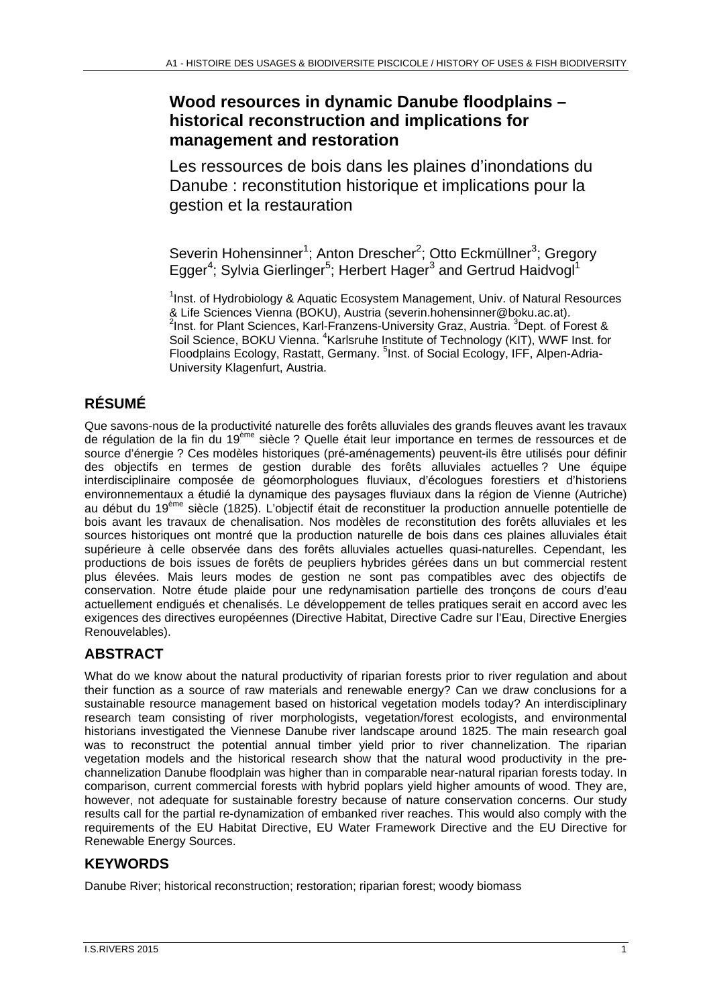# **Wood resources in dynamic Danube floodplains – historical reconstruction and implications for management and restoration**

Les ressources de bois dans les plaines d'inondations du Danube : reconstitution historique et implications pour la gestion et la restauration

Severin Hohensinner<sup>1</sup>; Anton Drescher<sup>2</sup>; Otto Eckmüllner<sup>3</sup>; Gregory Egger<sup>4</sup>; Sylvia Gierlinger<sup>5</sup>; Herbert Hager<sup>3</sup> and Gertrud Haidvogl<sup>1</sup>

<sup>1</sup>Inst. of Hydrobiology & Aquatic Ecosystem Management, Univ. of Natural Resources & Life Sciences Vienna (BOKU), Austria (severin.hohensinner@boku.ac.at). 2 Inst. for Plant Sciences, Karl-Franzens-University Graz, Austria. <sup>3</sup>Dept. of Forest & Soil Science, BOKU Vienna. <sup>4</sup>Karlsruhe Institute of Technology (KIT), WWF Inst. for Floodplains Ecology, Rastatt, Germany. <sup>5</sup>Inst. of Social Ecology, IFF, Alpen-Adria-University Klagenfurt, Austria.

# **RÉSUMÉ**

Que savons-nous de la productivité naturelle des forêts alluviales des grands fleuves avant les travaux de régulation de la fin du 19<sup>ème</sup> siècle ? Quelle était leur importance en termes de ressources et de source d'énergie ? Ces modèles historiques (pré-aménagements) peuvent-ils être utilisés pour définir des objectifs en termes de gestion durable des forêts alluviales actuelles ? Une équipe interdisciplinaire composée de géomorphologues fluviaux, d'écologues forestiers et d'historiens environnementaux a étudié la dynamique des paysages fluviaux dans la région de Vienne (Autriche) au début du 19ème siècle (1825). L'objectif était de reconstituer la production annuelle potentielle de bois avant les travaux de chenalisation. Nos modèles de reconstitution des forêts alluviales et les sources historiques ont montré que la production naturelle de bois dans ces plaines alluviales était supérieure à celle observée dans des forêts alluviales actuelles quasi-naturelles. Cependant, les productions de bois issues de forêts de peupliers hybrides gérées dans un but commercial restent plus élevées. Mais leurs modes de gestion ne sont pas compatibles avec des objectifs de conservation. Notre étude plaide pour une redynamisation partielle des tronçons de cours d'eau actuellement endigués et chenalisés. Le développement de telles pratiques serait en accord avec les exigences des directives européennes (Directive Habitat, Directive Cadre sur l'Eau, Directive Energies Renouvelables).

# **ABSTRACT**

What do we know about the natural productivity of riparian forests prior to river regulation and about their function as a source of raw materials and renewable energy? Can we draw conclusions for a sustainable resource management based on historical vegetation models today? An interdisciplinary research team consisting of river morphologists, vegetation/forest ecologists, and environmental historians investigated the Viennese Danube river landscape around 1825. The main research goal was to reconstruct the potential annual timber yield prior to river channelization. The riparian vegetation models and the historical research show that the natural wood productivity in the prechannelization Danube floodplain was higher than in comparable near-natural riparian forests today. In comparison, current commercial forests with hybrid poplars yield higher amounts of wood. They are, however, not adequate for sustainable forestry because of nature conservation concerns. Our study results call for the partial re-dynamization of embanked river reaches. This would also comply with the requirements of the EU Habitat Directive, EU Water Framework Directive and the EU Directive for Renewable Energy Sources.

# **KEYWORDS**

Danube River; historical reconstruction; restoration; riparian forest; woody biomass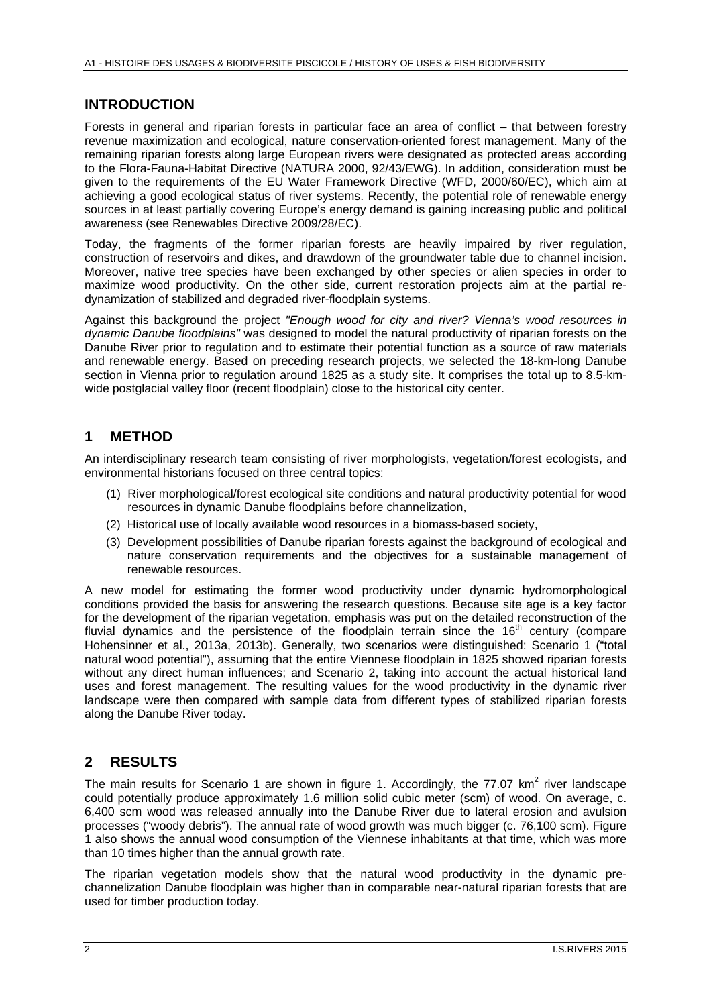#### **INTRODUCTION**

Forests in general and riparian forests in particular face an area of conflict – that between forestry revenue maximization and ecological, nature conservation-oriented forest management. Many of the remaining riparian forests along large European rivers were designated as protected areas according to the Flora-Fauna-Habitat Directive (NATURA 2000, 92/43/EWG). In addition, consideration must be given to the requirements of the EU Water Framework Directive (WFD, 2000/60/EC), which aim at achieving a good ecological status of river systems. Recently, the potential role of renewable energy sources in at least partially covering Europe's energy demand is gaining increasing public and political awareness (see Renewables Directive 2009/28/EC).

Today, the fragments of the former riparian forests are heavily impaired by river regulation, construction of reservoirs and dikes, and drawdown of the groundwater table due to channel incision. Moreover, native tree species have been exchanged by other species or alien species in order to maximize wood productivity. On the other side, current restoration projects aim at the partial redynamization of stabilized and degraded river-floodplain systems.

Against this background the project *"Enough wood for city and river? Vienna's wood resources in dynamic Danube floodplains"* was designed to model the natural productivity of riparian forests on the Danube River prior to regulation and to estimate their potential function as a source of raw materials and renewable energy. Based on preceding research projects, we selected the 18-km-long Danube section in Vienna prior to regulation around 1825 as a study site. It comprises the total up to 8.5-kmwide postglacial valley floor (recent floodplain) close to the historical city center.

#### **1 METHOD**

An interdisciplinary research team consisting of river morphologists, vegetation/forest ecologists, and environmental historians focused on three central topics:

- (1) River morphological/forest ecological site conditions and natural productivity potential for wood resources in dynamic Danube floodplains before channelization,
- (2) Historical use of locally available wood resources in a biomass-based society,
- (3) Development possibilities of Danube riparian forests against the background of ecological and nature conservation requirements and the objectives for a sustainable management of renewable resources.

A new model for estimating the former wood productivity under dynamic hydromorphological conditions provided the basis for answering the research questions. Because site age is a key factor for the development of the riparian vegetation, emphasis was put on the detailed reconstruction of the fluvial dynamics and the persistence of the floodplain terrain since the  $16<sup>th</sup>$  century (compare Hohensinner et al., 2013a, 2013b). Generally, two scenarios were distinguished: Scenario 1 ("total natural wood potential"), assuming that the entire Viennese floodplain in 1825 showed riparian forests without any direct human influences; and Scenario 2, taking into account the actual historical land uses and forest management. The resulting values for the wood productivity in the dynamic river landscape were then compared with sample data from different types of stabilized riparian forests along the Danube River today.

## **2 RESULTS**

The main results for Scenario 1 are shown in figure 1. Accordingly, the 77.07 km<sup>2</sup> river landscape could potentially produce approximately 1.6 million solid cubic meter (scm) of wood. On average, c. 6,400 scm wood was released annually into the Danube River due to lateral erosion and avulsion processes ("woody debris"). The annual rate of wood growth was much bigger (c. 76,100 scm). Figure 1 also shows the annual wood consumption of the Viennese inhabitants at that time, which was more than 10 times higher than the annual growth rate.

The riparian vegetation models show that the natural wood productivity in the dynamic prechannelization Danube floodplain was higher than in comparable near-natural riparian forests that are used for timber production today.